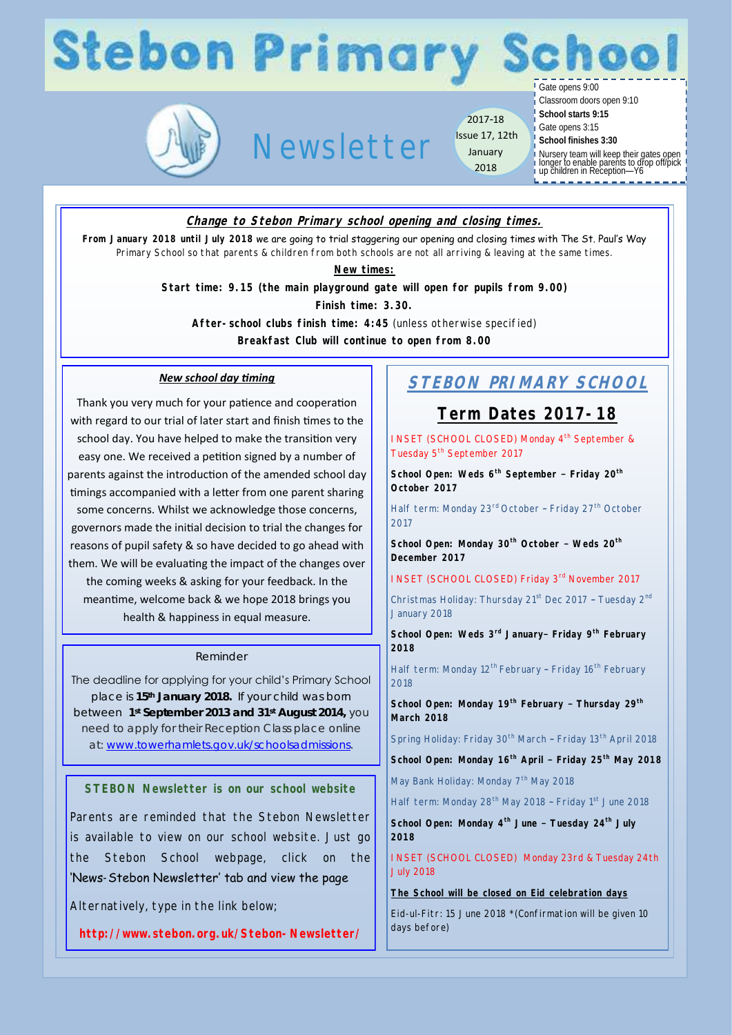# **Stebon Primary Schoo**

# Newsletter

2017-18 Issue 17, 12th January 2018

Gate opens 9:00 Classroom doors open 9:10

**School starts 9:15**

Gate opens 3:15

**School finishes 3:30**

Nursery team will keep their gates open longer to enable parents to drop off/pick up children in Reception—Y6

### **Change to Stebon Primary school opening and closing times.**

**From January 2018 until July 2018** we are going to trial staggering our opening and closing times with The St. Paul's Way Primary School so that parents & children from both schools are not all arriving & leaving at the same times.

**New times:**

**Start time: 9.15 (the main playground gate will open for pupils from 9.00)**

**Finish time: 3.30.** 

**After-school clubs finish time: 4:45** (unless otherwise specified)

**Breakfast Club will continue to open from 8.00**

#### *New school day timing*

Thank you very much for your patience and cooperation with regard to our trial of later start and finish times to the school day. You have helped to make the transition very easy one. We received a petition signed by a number of parents against the introduction of the amended school day timings accompanied with a letter from one parent sharing some concerns. Whilst we acknowledge those concerns, governors made the initial decision to trial the changes for reasons of pupil safety & so have decided to go ahead with them. We will be evaluating the impact of the changes over the coming weeks & asking for your feedback. In the meantime, welcome back & we hope 2018 brings you health & happiness in equal measure.

#### Reminder

The deadline for applying for your child's Primary School place is **15th January 2018.** If your child was born between **1st September 2013 and 31st August 2014,** you need to apply for their Reception Class place online at: [www.towerhamlets.gov.uk/schoolsadmissions.](http://www.towerhamlets.gov.uk/schoolsadmissions)

**STEBON Newsletter is on our school website**

Parents are reminded that the Stebon Newsletter is available to view on our school website. Just go the Stebon School webpage, click on the 'News-Stebon Newsletter' tab and view the page

Alternatively, type in the link below;

**http://www.stebon.org.uk/Stebon-Newsletter/**

# **STEBON PRIMARY SCHOOL**

## **Term Dates 2017-18**

INSET (SCHOOL CLOSED) Monday 4<sup>th</sup> September & Tuesday 5<sup>th</sup> September 2017

**School Open: Weds 6th September – Friday 20th October 2017**

Half term: Monday 23<sup>rd</sup> October - Friday 27<sup>th</sup> October 2017

**School Open: Monday 30th October – Weds 20th December 2017** 

INSET (SCHOOL CLOSED) Friday 3rd November 2017

Christmas Holiday: Thursday 21<sup>st</sup> Dec 2017 - Tuesday 2<sup>nd</sup> January 2018

**School Open: Weds 3rd January– Friday 9th February 2018**

Half term: Monday 12<sup>th</sup> February - Friday 16<sup>th</sup> February 2018

**School Open: Monday 19th February – Thursday 29th March 2018**

Spring Holiday: Friday 30<sup>th</sup> March - Friday 13<sup>th</sup> April 2018

**School Open: Monday 16th April – Friday 25th May 2018**

May Bank Holiday: Monday 7<sup>th</sup> May 2018

Half term: Monday 28th May 2018 – Friday 1st June 2018

**School Open: Monday 4th June – Tuesday 24th July 2018**

INSET (SCHOOL CLOSED) Monday 23rd & Tuesday 24th July 2018

**The School will be closed on Eid celebration days**

Eid-ul-Fitr: 15 June 2018 \*(Confirmation will be given 10 days before)